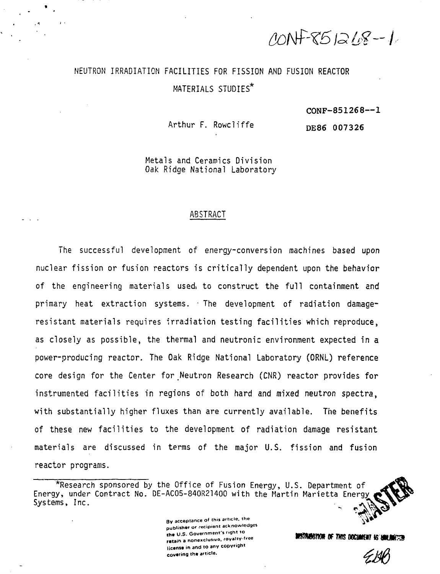CONF-851218-1

# NEUTRON IRRADIATION FACILITIES FOR FISSION AND FUSION REACTOR MATERIALS STUDIES<sup>\*</sup>

#### $CONF-851268--1$

Arthur F. Rowel iffe

DE86 007326

Metals and Ceramics Division Oak Ridge National Laboratory

#### ABSTRACT

The successful development of energy-conversion machines based upon nuclear fission or fusion reactors is critically dependent upon the behavior of the engineering materials usedi to construct the full containment and primary heat extraction systems. • The development of radiation damageresistant materials requires irradiation testing facilities which reproduce, as closely as possible, the thermal and neutronic environment expected in a power-producing reactor. The Oak Ridge National Laboratory (ORNL) reference core design for the Center for Neutron Research (CNR) reactor provides for instrumented facilities in regions of both hard and mixed neutron spectra, with substantially higher fluxes than are currently available. The benefits of these new facilities to the development of radiation damage resistant materials are discussed in terms of the major U.S. fission and fusion reactor programs.

By acceptance of this article, the **publisher** or recipient acknowledges the U.S. Government's right to retain a nonexclusive, royalty-free **licanst in** and **to** any copyright covering **th«** article.

**DISTINIBETION OF THIS DOCUMENT IS UNLIMITED** 

<sup>\*</sup>Research sponsored by the Office of Fusion Energy, U.S. Department of Energy, under Contract No. DE-AC05-840R21400 with the Martin Marietta Energy Systems, Inc.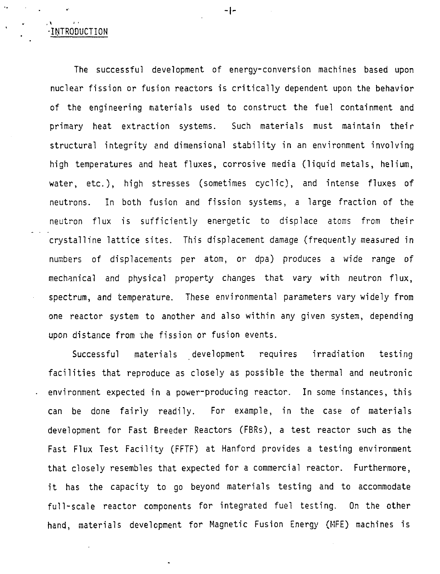-INTRODUCTION

The successful development of energy-conversion machines based upon nuclear fission or fusion reactors is critically dependent upon the behavior of the engineering materials used to construct the fuel containment and primary heat extraction systems. Such materials must maintain their structural integrity and dimensional stability in an environment involving high temperatures and heat fluxes, corrosive media (liquid metals, helium, water, etc.), high stresses (sometimes cyclic), and intense fluxes of neutrons. In both fusion and fission systems, a large fraction of the neutron flux is sufficiently energetic to displace atoms from their crystalline lattice sites. This displacement damage (frequently measured in numbers of displacements per atom, or dpa) produces a wide range of mechanical and physical property changes that vary with neutron flux, spectrum, and temperature. These environmental parameters vary widely from one reactor system to another and also within any given system, depending upon distance from the fission or fusion events.

Successful materials development requires irradiation testing facilities that reproduce as closely as possible the thermal and neutronic environment expected in a power-producing reactor. In some instances, this can be done fairly readily. For example, in the case of materials development for Fast Breeder Reactors (FBRs), a test reactor such as the Fast Flux Test Facility (FFTF) at Hanford provides a testing environment that closely resembles that expected for a commercial reactor. Furthermore, it has the capacity to go beyond materials testing and to accommodate full-scale reactor components for integrated fuel testing. On the other hand, materials development for Magnetic Fusion Energy (MFE) machines is

-1-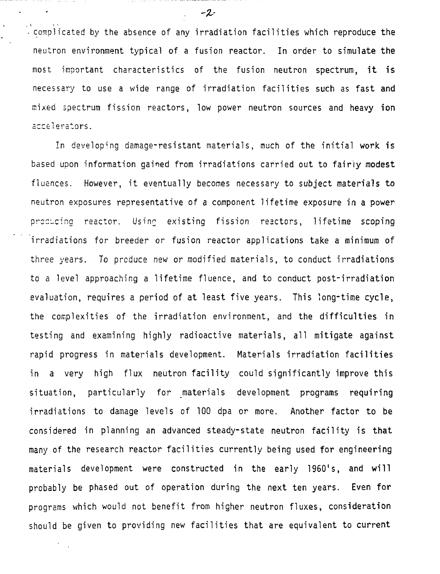complicated by the absence of any irradiation facilities which reproduce the neutron environment typical of a fusion reactor. In order to simulate the most important characteristics of the fusion neutron spectrum, it is necessary to use a wide range of irradiation facilities such as fast and mixed spectrum fission reactors, low power neutron sources and heavy ion accelerators.

In developing damage-resistant materials, much of the initial work is based upon information gained from irradiations carried out to fairly modest fiuences. However, it eventually becomes necessary to subject materials to neutron exposures representative of a component lifetime exposure in a power procucing reactor. Using existing fission reactors, lifetime scoping irradiations for breeder or fusion reactor applications take a minimum of three years. To produce new or modified materials, to conduct irradiations to a level approaching a lifetime fluence, and to conduct post-irradiation evaluation, requires a period of at least five years. This long-time cycle, the complexities of the irradiation environment, and the difficulties in testing and examining highly radioactive materials, all mitigate against rapid progress in materials development. Materials irradiation facilities in a very high flux neutron facility could significantly improve this situation, particularly for materials development programs requiring irradiations to damage levels of 100 dpa or more. Another factor to be considered in planning an advanced steady-state neutron facility is that many of the research reactor facilities currently being used for engineering materials development were constructed in the early 1960's, and will probably be phased out of operation during the next ten years. Even for programs which would not benefit from higher neutron fluxes, consideration should be given to providing new facilities that are equivalent to current

 $-2$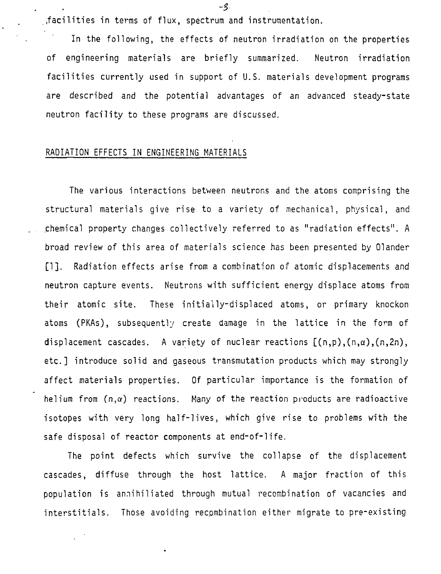.facilities in terms of flux, spectrum and instrumentation.

In the following, the effects of neutron irradiation on the properties of engineering materials are briefly summarized. Neutron irradiation facilities currently used in support of U.S. materials development programs are described and the potential advantages of an advanced steady-state neutron facility to these programs are discussed.

# RADIATION EFFECTS IN ENGINEERING MATERIALS

The various interactions between neutrons and the atoms comprising the structural materials give rise to a variety of mechanical, physical, and .chemical property changes collectively referred to as "radiation effects". A broad review of this area of materials science has been presented by Olander [1]. Radiation effects arise from a combination of atomic displacements and neutron capture events. Neutrons with sufficient energy displace atoms from their atomic site. These initially-displaced atoms, or primary knockon atoms (PKAs), subsequently create damage in the lattice in the form of displacement cascades. A variety of nuclear reactions  $[(n,p),(n,\alpha),(n,2n),$ etc.] introduce solid and gaseous transmutation products which may strongly affect materials properties. Of particular importance is the formation of helium from  $(n, \alpha)$  reactions. Many of the reaction products are radioactive isotopes with very long half-lives, which give rise to problems with the safe disposal of reactor components at end-of-life.

The point defects which survive the collapse of the displacement cascades, diffuse through the host lattice. A major fraction of this population is annihilated through mutual recombination of vacancies and interstitials. Those avoiding recombination either migrate to pre-existing

-3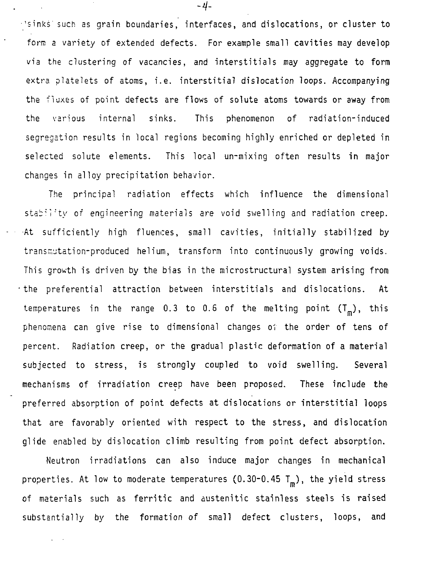• 'sinks' such as grain boundaries, interfaces, and dislocations, or cluster to form a variety of extended defects. For example small cavities may develop via the clustering of vacancies, and interstitials may aggregate to form extra platelets of atoms, i.e. interstitial dislocation loops. Accompanying the fluxes of point defects are flows of solute atoms towards or away from the various internal sinks. This phenomenon of radiation-induced segregation results in local regions becoming highly enriched or depleted in selected solute elements. This local un-mixing often results in major changes in alloy precipitation behavior.

The principal radiation effects which influence the dimensional stability of engineering materials are void swelling and radiation creep. •At sufficiently high fluemres, small cavities, initially stabilized by transmutation-produced helium, transform into continuously growing voids. This growth is driven by the bias in the microstructural system arising from •the preferential attraction between interstitials and dislocations. At temperatures in the range 0.3 to 0.6 of the melting point  $(T_m)$ , this phenomena can give rise to dimensional changes of the order of tens of percent. Radiation creep, or the gradual plastic deformation of a material subjected to stress, is strongly coupled to void swelling. Several mechanisms of irradiation creep have been proposed. These include the preferred absorption of point defects at dislocations or interstitial loops that are favorably oriented with respect to the stress, and dislocation glide enabled by dislocation climb resulting from point defect absorption.

Neutron irradiations can also induce major changes in mechanical properties. At low to moderate temperatures (0.30-0.45  $T_m$ ), the yield stress of materials such as ferritic and austenitic stainless steels is raised substantially by the formation of small defect clusters, loops, and

 $\ddot{\phantom{a}}$ 

 $-4-$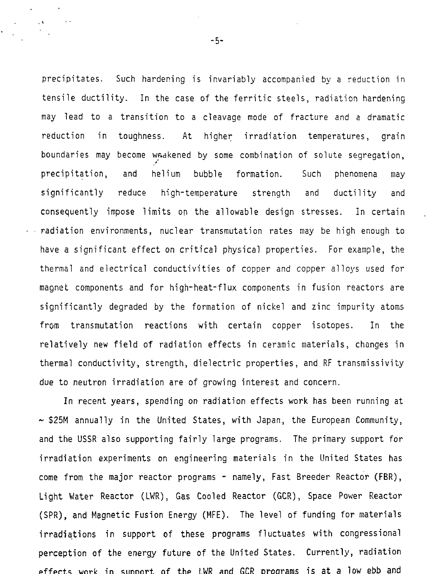precipitates. Such hardening is invariably accompanied by a reduction in tensile ductility. In the case of the ferritic steels, radiation hardening may lead to a transition to a cleavage mode of fracture and a dramatic reduction in toughness. At higher irradiation temperatures, grain boundaries may become weakened by some combination of solute segregation, precipitation, and helium bubble formation. Such phenomena may significantly reduce high-temperature strength and ductility and consequently impose limits on the allowable design stresses. In certain radiation environments, nuclear transmutation rates may be high enough to have a significant effect on critical physical properties. For example, the thermal and electrical conductivities of copper and copper alloys used for magnet components and for high-heat-flux components in fusion reactors are significantly degraded by the formation of nickel and zinc impurity atoms from transmutation reactions with certain copper isotopes. In the relatively new field of radiation effects in ceramic materials, changes in thermal conductivity, strength, dielectric properties, and RF transmissivity due to neutron irradiation are of growing interest and concern.

In recent years, spending on radiation effects work has been running at  $\sim$  \$25M annually in the United States, with Japan, the European Community, and the USSR also supporting fairly large programs. The primary support for irradiation experiments on engineering materials in the United States has come from the major reactor programs - namely, Fast Breeder Reactor (FBR), Light Water Reactor (LWR), Gas Cooled Reactor (GCR), Space Power Reactor (SPR), and Magnetic Fusion Energy (MFE). The level of funding for materials irradiations in support of these programs fluctuates with congressional perception of the energy future of the United States. Currently, radiation effects wnrk in sunoort of the LWR and GCR Droorams is at a low ebb and

-5-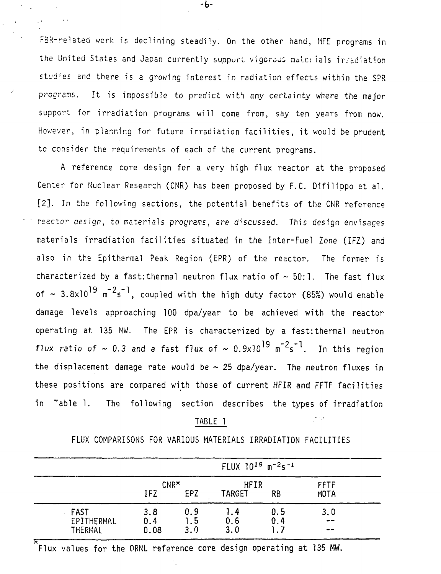FBR-related work is declining steadily. On the other hand, MFE programs in the United States and Japan currently support vigorous materials irradiation studies and there is a growing interest in radiation effects within the SPR programs. It is impossible to predict with any certainty where the major support for irradiation programs will come from, say ten years from now. Hov/ever, in planning for future irradiation facilities, it would be prudent to consider the requirements of each of the current programs.

A reference core design for a very high flux reactor at the proposed Center for Nuclear Research (CNR) has been proposed by F.C. Difilippo et al. [2]. In the following sections, the potential benefits of the CNR reference reactor oesign, to materials programs, are discussed. This design envisages materials irradiation facilities situated in the Inter-Fuel Zone (IFZ) and also in the Epithermal Peak Region (EPR) of the reactor. The former is characterized by a fast: thermal neutron flux ratio of  $\sim$  50:1. The fast flux of  $\sim$  3.8x10<sup>19</sup> m<sup>-2</sup>s<sup>-1</sup>, coupled with the high duty factor (85%) would enable damage levels approaching 100 dpa/year to be achieved with the reactor operating at. 135 MW. The EPR is characterized by a fastrthermal neutron flux ratio of  $\sim$  0.3 and a fast flux of  $\sim$  0.9x10<sup>19</sup> m<sup>-2</sup>s<sup>-1</sup>. In this region the displacement damage rate would be  $\sim$  25 dpa/year. The neutron fluxes in these positions are compared with those of current HFIR and FFTF facilities in Table 1. The following section describes the types of irradiation

#### TABLE 1

مرداد

FLUX COMPARISONS FOR VARIOUS MATERIALS IRRADIATION FACILITIES

|                                 | FLUX 10 <sup>19</sup> m <sup>-2</sup> s <sup>-1</sup> |                   |                       |                  |                                              |  |  |
|---------------------------------|-------------------------------------------------------|-------------------|-----------------------|------------------|----------------------------------------------|--|--|
|                                 | $CNR*$<br>IFZ                                         | EPZ               | <b>HFIR</b><br>TARGET | <b>RB</b>        | <b>FFTF</b><br><b>MOTA</b>                   |  |  |
| . FAST<br>EPITHERMAL<br>THERMAL | 3.8<br>0.4<br>0.08                                    | 0.9<br>1.5<br>3.0 | 1.4<br>0.6<br>3.0     | 0.5<br>0.4<br>לו | 3,0<br>$- -$<br>$\qquad \qquad \blacksquare$ |  |  |

Flux values for the ORNL reference core design operating at 135 MW.

-b-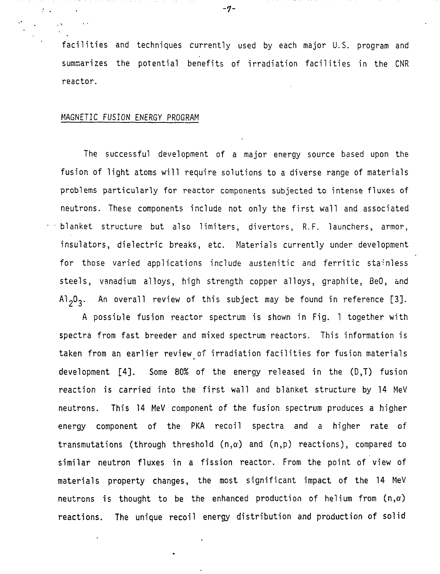facilities and techniques currently used by each major U.S. program and summarizes the potential benefits of irradiation facilities in the CNR reactor.

#### MAGNETIC FUSION ENERGY PROGRAM

The successful development of a major energy source based upon the fusion of light atoms will require solutions to a diverse range of materials problems particularly for reactor components subjected to intense fluxes of neutrons. These components include not only the first wall and associated blanket structure but also limiters, divertors, R.F. launchers, armor, insulators, dielectric breaks, etc. Materials currently under development for those varied applications include austenitic and ferritic stainless steels, vanadium alloys, high strength copper alloys, graphite, BeO, and  $A1_{2}0_{2}$ . An overall review of this subject may be found in reference [3].

A possible fusion reactor spectrum is shown in Fig. 1 together with spectra from fast breeder and mixed spectrum reactors. This information is taken from an earlier review of irradiation facilities for fusion materials development [4]. Some 80% of the energy released in the (D,T) fusion reaction is carried into the first wall and blanket structure by 14 MeV neutrons. This 14 MeV component of the fusion spectrum produces a higher energy component of the PKA recoil spectra and a higher rate of transmutations (through threshold  $(n,\alpha)$  and  $(n,p)$  reactions), compared to similar neutron fluxes in a fission reactor. From the point of view of materials property changes, the most significant impact of the 14 MeV neutrons is thought to be the enhanced production of helium from  $(n, \alpha)$ reactions. The unique recoil energy distribution and production of solid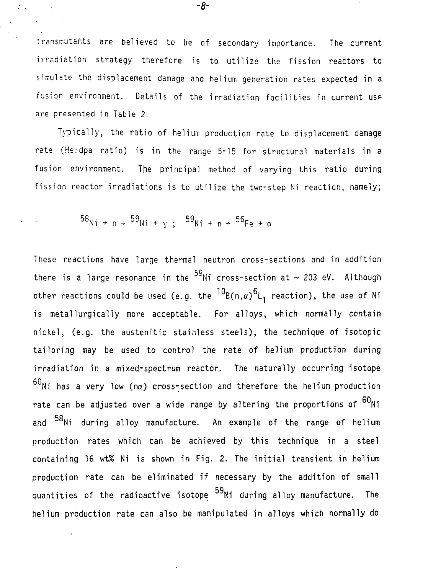transnutents are believed to be of secondary importance. The current irradiation strategy therefore is to utilize the fission reactors to simulate the displacement damage and helium generation rates expected in a fusion environment. Details of the irradiation facilities in current use are presented in Table 2.

Typically, the ratio of helium production rate to displacement damage rate (He:dpa ratio) is in the range 5-15 for structural materials in a fusion environment. The principal method of varying this ratio during fission reactor irradiations is to utilize the two-step Ni reaction, namely;

$$
58_{\text{Ni + n}} \div 59_{\text{Ni + y}}; 59_{\text{Ni + n}} \div 56_{\text{Fe + \alpha}}
$$

These reactions have large thermal neutron cross-sections and in addition there is a large resonance in the  $^{59}$ Ni cross-section at  $\sim$  203 eV. Although other reactions could be used (e.g. the  ${}^{10}$ B(n, $\alpha$ )<sup>6</sup>L<sub>1</sub> reaction), the use of Ni is metallurgically more acceptable. For alloys, which normally contain nickel, (e.g. the austenitic stainless steels), the technique of isotopic tailoring may be used to control the rate of helium production during irradiation in a mixed-spectrum reactor. The naturally occurring isotope  $60$ Ni has a very low (na) cross-section and therefore the helium production rate can be adjusted over a wide range by altering the proportions of  $60$ Ni and <sup>58</sup>Ni during alloy manufacture. An example of the range of helium production rates which can be achieved by this technique in a steel containing 16 wt% Ni is shown in Fig. 2. The initial transient in helium production rate can be eliminated if necessary by the addition of small  $p$ roduction rate can be eliminated if necessary by the addition of small  $p$  necessary by the addition of small  $p$ 59 helium production rate can also be manipulated in alloys which normally do

-8-

 $\mathcal{I}_{\mathcal{I}}$  .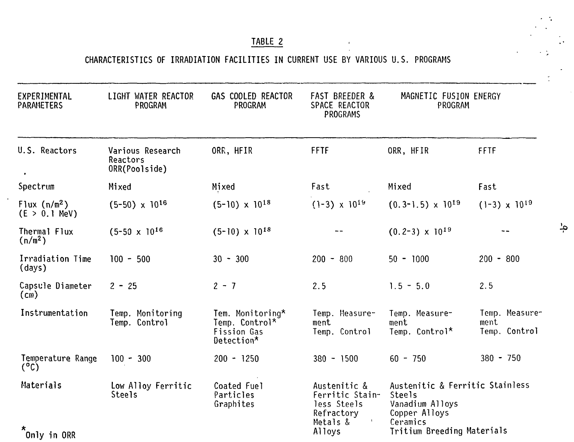# TABLE 2

# CHARACTERISTICS OF IRRADIATION FACILITIES IN CURRENT USE BY VARIOUS U.S. PROGRAMS

| EXPERIMENTAL<br>PARAMETERS          | LIGHT WATER REACTOR<br>PROGRAM                | GAS COOLED REACTOR<br>PROGRAM                                   | <b>FAST BREEDER &amp;</b><br>SPACE REACTOR<br><b>PROGRAMS</b>            | MAGNETIC FUSION ENERGY<br>PROGRAM                                                         |                                         |  |
|-------------------------------------|-----------------------------------------------|-----------------------------------------------------------------|--------------------------------------------------------------------------|-------------------------------------------------------------------------------------------|-----------------------------------------|--|
| U.S. Reactors                       | Various Research<br>Reactors<br>ORR(Poolside) | ORR, HFIR                                                       | <b>FFTF</b>                                                              | ORR, HFIR                                                                                 | FFTF                                    |  |
| Spectrum                            | Mixed                                         | Mixed                                                           | Fast                                                                     | Mixed                                                                                     | Fast                                    |  |
| Flux $(n/m^2)$<br>$(E > 0.1$ MeV)   | $(5-50) \times 10^{16}$                       | $(5-10) \times 10^{18}$                                         | $(1-3) \times 10^{19}$                                                   | $(0.3-1.5) \times 10^{19}$                                                                | $(1-3) \times 10^{19}$                  |  |
| Thermal Flux<br>(n/m <sup>2</sup> ) | $(5-50 \times 10^{16})$                       | $(5-10) \times 10^{18}$                                         |                                                                          | $(0.2-3) \times 10^{19}$                                                                  |                                         |  |
| Irradiation Time<br>(days)          | $100 - 500$                                   | $30 - 300$                                                      | $200 - 800$                                                              | $50 - 1000$                                                                               | $200 - 800$                             |  |
| Capsule Diameter<br>(m)             | $2 - 25$                                      | $2 - 7$                                                         | 2.5                                                                      | $1.5 - 5.0$                                                                               | 2.5                                     |  |
| Instrumentation                     | Temp. Monitoring<br>Temp. Control             | Tem. Monitoring*<br>Temp. Control*<br>Fission Gas<br>Detection* | Temp. Measure-<br>ment<br>Temp. Control                                  | Temp. Measure-<br>ment<br>Temp. Control*                                                  | Temp. Measure-<br>ment<br>Temp. Control |  |
| Temperature Range<br>$(^{\circ}C)$  | $100 - 300$                                   | $200 - 1250$                                                    | $380 - 1500$                                                             | $60 - 750$                                                                                | $380 - 750$                             |  |
| Materials                           | Low Alloy Ferritic<br>Steels                  | Coated Fuel<br>Particles<br>Graphites                           | Austenitic &<br>Ferritic Stain-<br>less Steels<br>Refractory<br>Metals & | Austenitic & Ferritic Stainless<br>Steels<br>Vanadium Alloys<br>Copper Alloys<br>Ceramics |                                         |  |
| Only in ORR                         |                                               |                                                                 | Alloys                                                                   | <b>Tritium Breeding Materials</b>                                                         |                                         |  |

 $\ddot{\phantom{1}}$ 

ۻ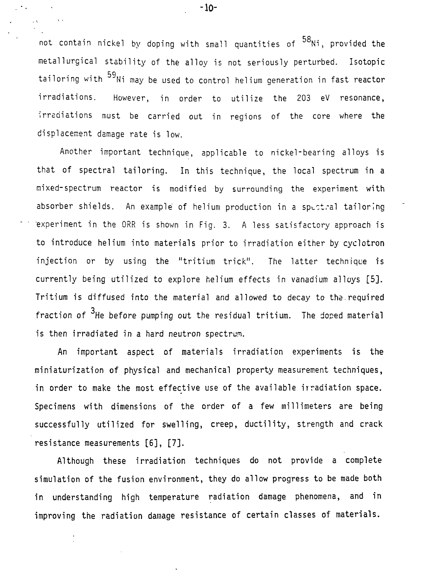م ۳ not contain nickel by doping with small quantities of Ni, provided the metallurgical stability of the alloy is not seriously perturbed. Isotopic tailoring with  $^{59}$ Ni may be used to control helium generation in fast reactor irradiations. However, in order to utilize the 203 eV resonance, irradiations must be carried out in regions of the core where the displacement damage rate is low.

Another important technique, applicable to nickel-bearing alloys is that of spectral tailoring. In this technique, the local spectrum in a mixed-spectrum reactor is modified by surrounding the experiment with absorber shields. An example of helium production in a spectral tailoring experiment in the ORR is shown in Fig. 3. A less satisfactory approach is to introduce helium into materials prior to irradiation either by cyclotron injection or by using the "tritium trick". The latter technique is currently being utilized to explore helium effects in vanadium alloys [5]. Tritium is diffused into the material and allowed to decay to the.required 3. fraction of He before pumping out the residual tritium. The doped material is then irradiated in a hard neutron spectrum.

An important aspect of materials irradiation experiments is the miniaturization of physical and mechanical property measurement techniques, in order to make the most effective use of the available irradiation space. Specimens with dimensions of the order of a few millimeters are being successfully utilized for swelling, creep, ductility, strength and crack resistance measurements [6], [7].

Although these irradiation techniques do not provide a complete simulation of the fusion environment, they do allow progress to be made both in understanding high temperature radiation damage phenomena, and in improving the radiation damage resistance of certain classes of materials.

-10-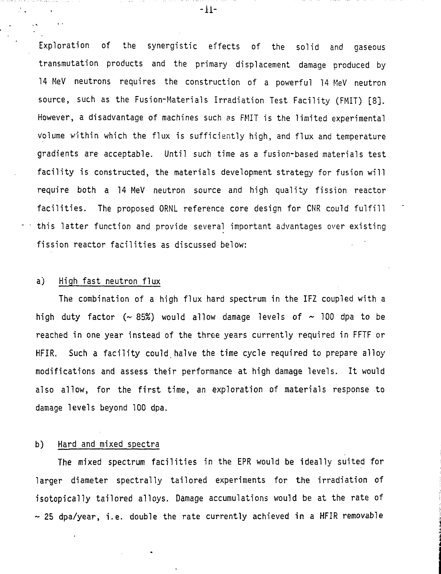Expioration of the synergistic effects of the solid and gaseous transmutation products and the primary displacement damage produced by 14 MeV neutrons requires the construction of a powerful 14 MeV neutron source, such as the Fusion-Materials Irradiation Test Facility (FMIT) [8]. However, a disadvantage of machines such as FMIT is the limited experimental volume within which the flux is sufficiently high, and flux and temperature gradients are acceptable. Until such time as a fusion-based materials test facility is constructed, the materials development strategy for fusion will require both a 14 MeV neutron source and high quality fission reactor facilities. The proposed ORNL reference core design for CNR could fulfill this latter function and provide several important advantages over existing fission reactor facilities as discussed below:

### a) High fast neutron flux

The combination of a high flux hard spectrum in the IFZ coupled with a high duty factor ( $\sim$  85%) would allow damage levels of  $\sim$  100 dpa to be reached in one year instead of the three years currently required in FFTF or HFIR. Such a facility could.halve the time cycle required to prepare alloy modifications and assess their performance at high damage levels. It would also allow, for the first time, an exploration of materials response to damage levels beyond 100 dpa.

#### b) Hard and mixed spectra

The mixed spectrum facilities in the EPR would be ideally suited for larger diameter spectrally tailored experiments for the irradiation of isotopically tailored alloys. Damage accumulations would be at the rate of ~ 25 dpa/year, i.e. double the rate currently achieved in a HFIR removable

-11-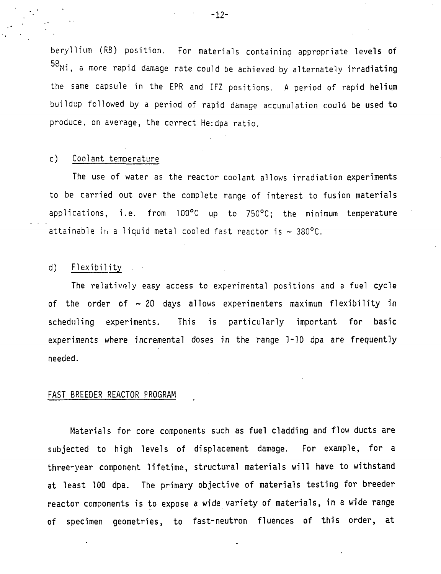beryIlium (RB) position. For materials containing appropriate levels of 58 Ni, a more rapid damage rate could be achieved by alternately irradiating the same capsule in the EPR and IFZ positions. A period of rapid helium buildup followed by a period of rapid damage accumulation could be used to produce, on average, the correct He:dpa ratio.

## c) Coolant temperature

The use of water as the reactor coolant allows irradiation experiments to be carried out over the complete range of interest to fusion materials applications, i.e. from 100°C up to 750°C; the minimum temperature attainable in a liquid metal cooled fast reactor is  $\sim 380^{\circ}$ C.

## d) Flexibility

The relatively easy access to experimental positions and a fuel cycle of the order of  $\sim$  20 days allows experimenters maximum flexibility in scheduling experiments. This is particularly important for basic experiments where incremental doses in the range 1-10 dpa are frequently needed.

#### FAST BREEDER REACTOR PROGRAM

Materials for core components such as fuel cladding and flow ducts are subjected to high levels of displacement damage. For example, for a three-year component lifetime, structural materials will have to withstand at least 100 dpa. The primary objective of materials testing for breeder reactor components is to expose a wide variety of materials, in a wide range of specimen geometries, to fast-neutron fluences of this order, at

-12-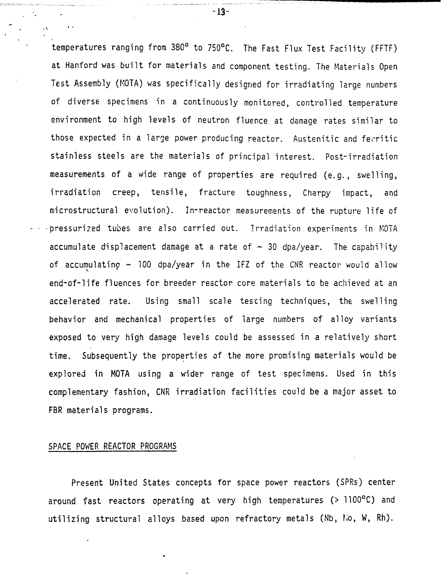temperatures ranging from 380° to 750°C. The Fast Flux Test Facility (FFTF) at Hanford was built for materials and component testing. The Materials Open Test Assembly (KOTA) was specifically designed for irradiating large numbers of diverse specimens in a continuously monitored, controlled temperature environment to high levels of neutron fluence at damage rates similar to those expected in a large power producing reactor. Austenitic and ferritic stainless steels are the materials of principal interest. Post-irradiation measurements of a wide range of properties are required (e.g., swelling, irradiation creep, tensile, fracture toughness, Charpy impact, and microstructural evolution). In-reactor measurements of the rupture life of •pressurized tubes are also carried out. Irradiation experiments in MOTA accumulate displacement damage at a rate of  $\sim$  30 dpa/year. The capability of accumulating  $\sim$  100 dpa/year in the IFZ of the CNR reactor would allow end-of-life fluences for breeder reactor core materials to be achieved at an accelerated rate. Using small scale testing techniques, the swelling behavior and mechanical properties of large numbers of alloy variants exposed to very high damage levels could be assessed in a relatively short time. Subsequently the properties of the more promising materials would be explored in MOTA using a wider range of test specimens. Used in this complementary fashion, CNR irradiation facilities could be a major asset to FBR materials programs.

#### SPACE POWER REACTOR PROGRAMS

 $\ddot{\phantom{0}}$ 

Present United States concepts for space power reactors (SPRs) center around fast reactors operating at very high temperatures (> 1100°C) and utilizing structural alloys based upon refractory metals (Nb, fio, W, Rh).

-13-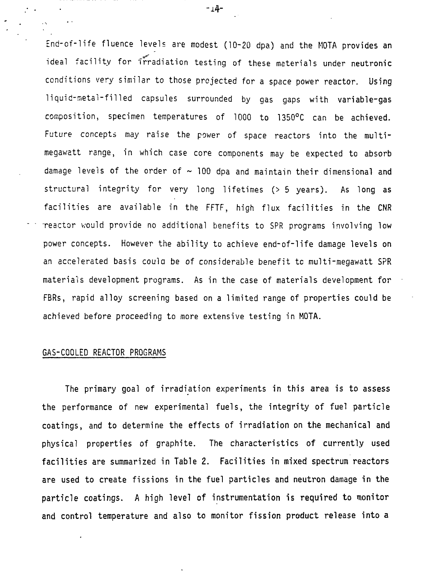End-of-life fluence levels are modest (10-20 dpa) and the MOTA provides an ideal facility for irradiation testing of these materials under neutronic conditions very similar to those projected for a space power reactor. Using liquid-metal-filled capsules surrounded by gas gaps with variable-gas composition, specimen temperatures of 1000 to 1350°C can be achieved. Future concepts may raise the power of space reactors into the multimegawatt range, in which case core components may be expected to absorb damage levels of the order of  $\sim$  100 dpa and maintain their dimensional and structural integrity for very long lifetimes (> 5 years). As long as facilities are available in the FFTF, high flux facilities in the CNR reactor would provide no additional benefits to SPR programs involving low power concepts. However the ability to achieve end-of-life damage levels on an accelerated basis coula be of considerable benefit tc multi-megawatt SPR materials development programs. As in the case of materials development for FBRs, rapid alloy screening based on a limited range of properties could be achieved before proceeding to more extensive testing in MOTA.

#### GAS-COOLED REACTOR PROGRAMS

The primary goal of irradiation experiments in this area is to assess the performance of new experimental fuels, the integrity of fuel particle coatings, and to determine the effects of irradiation on the mechanical and physical properties of graphite. The characteristics of currently used facilities are summarized in Table 2. Facilities in mixed spectrum reactors are used to create fissions in the fuel particles and neutron damage in the particle coatings. A high level of instrumentation is required to monitor and control temperature and also to monitor fission product release into a

 $-14-$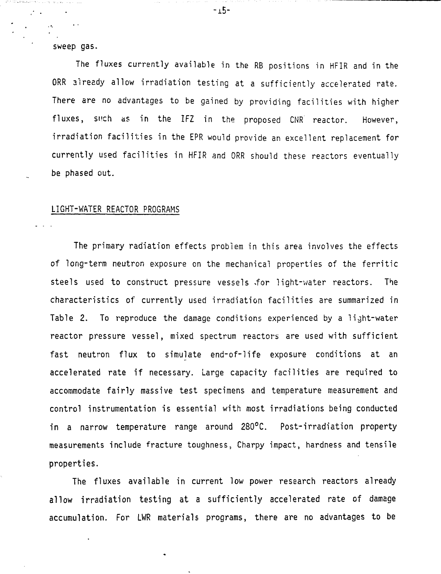sweep gas.

The fluxes currently available in the RB positions in HFIR and in the ORR aiready allow irradiation testing at a sufficiently accelerated rate. There are no advantages to be gained by providing facilities with higher fluxes, such as in the IFZ in the proposed CNR reactor. However, irradiation facilities in the EPR would provide an excellent replacement for currently used facilities in HFIR and ORR should these reactors eventually be phased out.

#### LIGHT-WATER REACTOR PROGRAMS

The primary radiation effects problem in this area involves the effects of long-term neutron exposure on the mechanical properties of the ferritic steels used to construct pressure vessels for light-water reactors. The characteristics of currently used irradiation facilities are summarized in Table 2. To reproduce the damage conditions experienced by a light-water reactor pressure vessel, mixed spectrum reactors are used with sufficient fast neutron flux to simulate end-of-life exposure conditions at an accelerated rate if necessary. Large capacity facilities are required to accommodate fairly massive test specimens and temperature measurement and control instrumentation is essential with most irradiations being conducted in a narrow temperature range around 280°C. Post-irradiation property measurements include fracture toughness, Charpy impact, hardness and tensile properties.

The fluxes available in current low power research reactors already allow irradiation testing at a sufficiently accelerated rate of damage accumulation. For LWR materials programs, there are no advantages to be

 $-15-$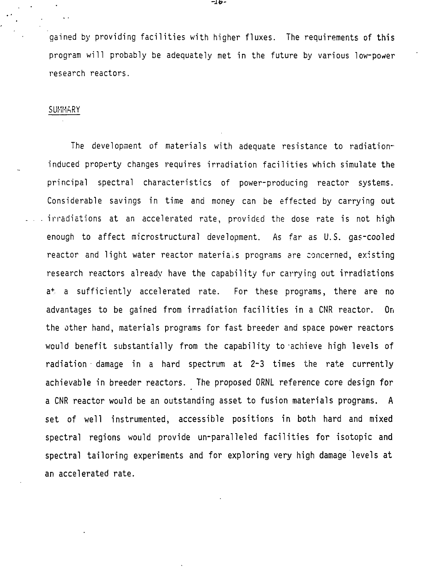gained by providing facilities with higher fluxes. The requirements of this program will probably be adequately met in the future by various low-power research reactors.

#### SUMMARY

The development of materials with adequate resistance to radiationinduced property changes requires irradiation facilities which simulate the principal spectral characteristics of power-producing reactor systems. Considerable savings in time and money can be effected by carrying out irradiations at an accelerated rate, provided the dose rate is not high enough to affect microstructural development. As far as U.S. gas-cooled reactor and light water reactor materials programs are concerned, existing research reactors already have the capability fur carrying out irradiations a <sup>+</sup> a sufficiently accelerated rate. For these programs, there are no advantages to be gained from irradiation facilities in a CNR reactor. On the other hand, materials programs for fast breeder and space power reactors would benefit substantially from the capability to 'achieve high levels of radiation damage in a hard spectrum at 2-3 times the rate currently achievable in breeder reactors. The proposed ORNL reference core design for a CNR reactor would be an outstanding asset to fusion materials programs. A set of well instrumented, accessible positions in both hard and mixed spectral regions would provide un-paralleled facilities for isotopic and spectral tailoring experiments and for exploring very high damage levels at an accelerated rate.

-lb-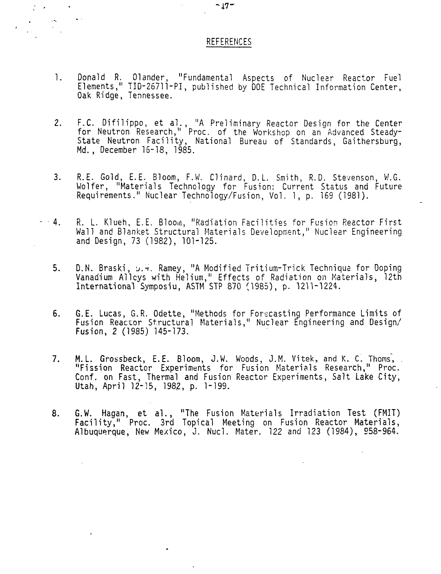#### REFERENCES

- 1. Donald R. Olander, "Fundamental Aspects of Nuclear Reactor Fuel Elements," TID-26711-PI, published by DOE Technical Information Center, Oak Ridge, Tennessee.
- 2. F.C. Difilippo, et ai., "A Preliminary Reactor Design for the Center for Neutron Research," Proc. of the Workshop on an Advanced Steady-State Neutron Facility, National Bureau of Standards, Gaithersburg, Md. , December 16-18, 1985.
- 3. R.E. Gold, E.E. Bloom, F.W. Clinard, D.L. Smith, R.D. Stevenson, W.G. Wolfer, "Materials Technology for Fusion: Current Status and Future Requirements." Nuclear Technology/Fusion, Vol. 1, p. 169 (1981).
- 4. R. L. Klueh, E.E. Bloom, "Radiation Facilities for Fusion Reactor First Wall and Blanket Structural Materials Development," Nuclear Engineering and Design, 73 (1982), 101-125.
	- 5. D.N. Braski, u.W. Ramey, "A Modified Tritium-Trick Technique for Doping Vanadium Alleys with Helium," Effects of Radiation on Materials, 12th International Symposiu, ASTM STP 870 (1985), p. 1211-1224.
	- 6. G.E. Lucas, G.R. Odette, "Methods for Forecasting Performance Limits of Fusion Reactor Structural Materials," Nuclear Engineering and Design/ Fusion, 2 (1985) 145-173.
	- 7. M.L. Grossbeck, E.E. Bloom, J.W. Woods, J.M. Vitek, and K. C. Thoms, "Fission Reactor Experiments for Fusion Materials Research," Proc. Conf. on Fast, Thermal and Fusion Reactor Experiments, Salt Lake City, Utah, April 12-15, 1982, p. 1-199.
	- 8. G.W. Hagan, et al., "The Fusion Materials Irradiation Test (FMIT) Facility," Proc. 3rd Topical Meeting on Fusion Reactor Materials, Albuquerque, New Mexico, J. Nucl. Mater. 122 and 123 (1984), 958-964.

 $\bullet$ 

 $\mathcal{L}^{\text{max}}$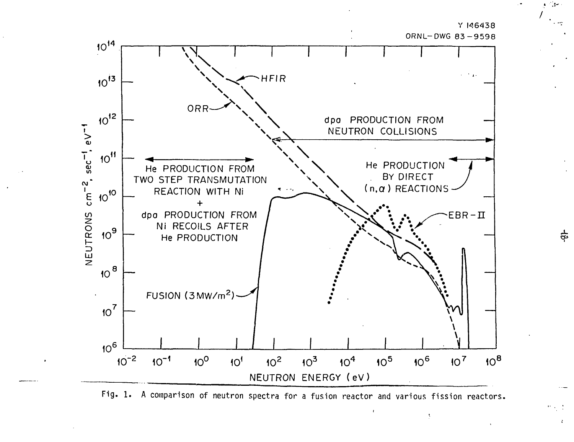

ORNL-DWG 83-9598

Ą



Fig. 1. A comparison of neutron spectra for a fusion reactor and various fission reactors.

 $rac{4}{9}$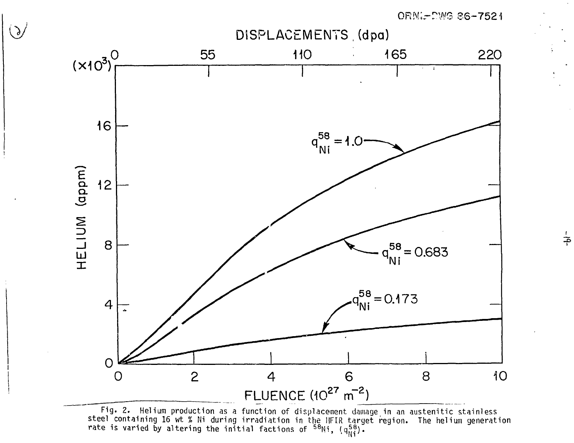ORN  $-$  DWG 86-7521



 $\bigodot$ 

n as a function of displacement damage in an austenitic stainless '', ''Y<sub>Ni</sub>

 $-\mathsf{b}$